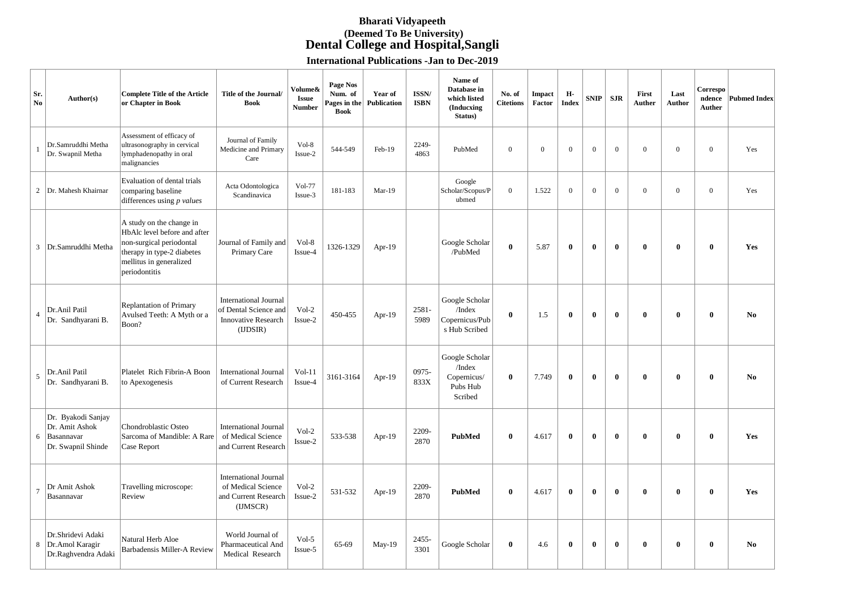## **Bharati Vidyapeeth (Deemed To Be University) Dental College and Hospital,Sangli**

**International Publications -Jan to Dec-2019**

| Sr.<br>No      | Author(s)                                                                | <b>Complete Title of the Article</b><br>or Chapter in Book                                                                                                     | <b>Title of the Journal/</b><br><b>Book</b>                                                    | Volume&<br><b>Issue</b><br><b>Number</b> | <b>Page Nos</b><br>Num. of<br>Pages in the<br><b>Book</b> | Year of<br><b>Publication</b> | ISSN/<br><b>ISBN</b> | Name of<br>Database in<br>which listed<br>(Inducxing)<br>Status) | No. of<br><b>Citetions</b> | Impact<br>Factor | Н-<br><b>Index</b> | <b>SNIP</b>  | <b>SJR</b>   | First<br><b>Auther</b> | Last<br>Author | Correspo<br>ndence<br>Auther | <b>Pubmed Index</b> |
|----------------|--------------------------------------------------------------------------|----------------------------------------------------------------------------------------------------------------------------------------------------------------|------------------------------------------------------------------------------------------------|------------------------------------------|-----------------------------------------------------------|-------------------------------|----------------------|------------------------------------------------------------------|----------------------------|------------------|--------------------|--------------|--------------|------------------------|----------------|------------------------------|---------------------|
|                | Dr.Samruddhi Metha<br>Dr. Swapnil Metha                                  | Assessment of efficacy of<br>ultrasonography in cervical<br>lymphadenopathy in oral<br>malignancies                                                            | Journal of Family<br>Medicine and Primary<br>Care                                              | Vol-8<br>Issue-2                         | 544-549                                                   | Feb-19                        | 2249-<br>4863        | PubMed                                                           | $\mathbf{0}$               | $\overline{0}$   | $\mathbf{0}$       | $\mathbf{0}$ | $\mathbf{0}$ | $\overline{0}$         | $\mathbf{0}$   | $\mathbf{0}$                 | Yes                 |
| $\overline{2}$ | Dr. Mahesh Khairnar                                                      | Evaluation of dental trials<br>comparing baseline<br>differences using $p$ values                                                                              | Acta Odontologica<br>Scandinavica                                                              | <b>Vol-77</b><br>Issue-3                 | 181-183                                                   | $Mar-19$                      |                      | Google<br>Scholar/Scopus/P<br>ubmed                              | $\mathbf{0}$               | 1.522            | $\mathbf{0}$       | $\mathbf{0}$ | $\mathbf{0}$ | $\overline{0}$         | $\overline{0}$ | $\mathbf{0}$                 | Yes                 |
| $\mathfrak{Z}$ | Dr.Samruddhi Metha                                                       | A study on the change in<br>HbAlc level before and after<br>non-surgical periodontal<br>therapy in type-2 diabetes<br>mellitus in generalized<br>periodontitis | Journal of Family and<br>Primary Care                                                          | Vol-8<br>Issue-4                         | 1326-1329                                                 | Apr-19                        |                      | Google Scholar<br>/PubMed                                        | $\bf{0}$                   | 5.87             | $\mathbf{0}$       | $\bf{0}$     | $\bf{0}$     | $\bf{0}$               | $\bf{0}$       | $\bf{0}$                     | Yes                 |
| $\overline{4}$ | Dr.Anil Patil<br>Dr. Sandhyarani B.                                      | <b>Replantation of Primary</b><br>Avulsed Teeth: A Myth or a<br>Boon?                                                                                          | <b>International Journal</b><br>of Dental Science and<br><b>Innovative Research</b><br>(IDSIR) | $Vol-2$<br>Issue-2                       | 450-455                                                   | Apr-19                        | 2581-<br>5989        | Google Scholar<br>/Index<br>Copernicus/Pub<br>s Hub Scribed      | $\bf{0}$                   | 1.5              | $\mathbf{0}$       | $\bf{0}$     | $\bf{0}$     | $\bf{0}$               | $\mathbf{0}$   | $\bf{0}$                     | N <sub>0</sub>      |
| $\sqrt{5}$     | Dr.Anil Patil<br>Dr. Sandhyarani B.                                      | Platelet Rich Fibrin-A Boon<br>to Apexogenesis                                                                                                                 | <b>International Journal</b><br>of Current Research                                            | $Vol-11$<br>Issue-4                      | 3161-3164                                                 | Apr-19                        | 0975-<br>833X        | Google Scholar<br>/Index<br>Copernicus/<br>Pubs Hub<br>Scribed   | $\bf{0}$                   | 7.749            | $\mathbf{0}$       | $\bf{0}$     | $\bf{0}$     | $\bf{0}$               | $\bf{0}$       | $\bf{0}$                     | N <sub>0</sub>      |
| 6              | Dr. Byakodi Sanjay<br>Dr. Amit Ashok<br>Basannavar<br>Dr. Swapnil Shinde | Chondroblastic Osteo<br>Sarcoma of Mandible: A Rare<br><b>Case Report</b>                                                                                      | <b>International Journal</b><br>of Medical Science<br>and Current Research                     | $Vol-2$<br>Issue-2                       | 533-538                                                   | Apr-19                        | 2209-<br>2870        | <b>PubMed</b>                                                    | $\bf{0}$                   | 4.617            | $\mathbf{0}$       | $\bf{0}$     | $\bf{0}$     | $\mathbf{0}$           | $\mathbf{0}$   | $\bf{0}$                     | Yes                 |
| $\overline{7}$ | Dr Amit Ashok<br>Basannavar                                              | Travelling microscope:<br>Review                                                                                                                               | <b>International Journal</b><br>of Medical Science<br>and Current Research<br>(IJMSCR)         | $Vol-2$<br>Issue-2                       | 531-532                                                   | Apr-19                        | 2209-<br>2870        | <b>PubMed</b>                                                    | $\bf{0}$                   | 4.617            | $\mathbf{0}$       | $\bf{0}$     | $\bf{0}$     | $\bf{0}$               | $\mathbf{0}$   | $\bf{0}$                     | Yes                 |
| 8              | Dr.Shridevi Adaki<br>Dr.Amol Karagir<br>Dr.Raghvendra Adaki              | Natural Herb Aloe<br>Barbadensis Miller-A Review                                                                                                               | World Journal of<br>Pharmaceutical And<br>Medical Research                                     | Vol-5<br>Issue-5                         | 65-69                                                     | May-19                        | 2455-<br>3301        | Google Scholar                                                   | $\bf{0}$                   | 4.6              | $\mathbf{0}$       | $\mathbf{0}$ | $\bf{0}$     | $\mathbf{0}$           | $\mathbf{0}$   | $\bf{0}$                     | N <sub>0</sub>      |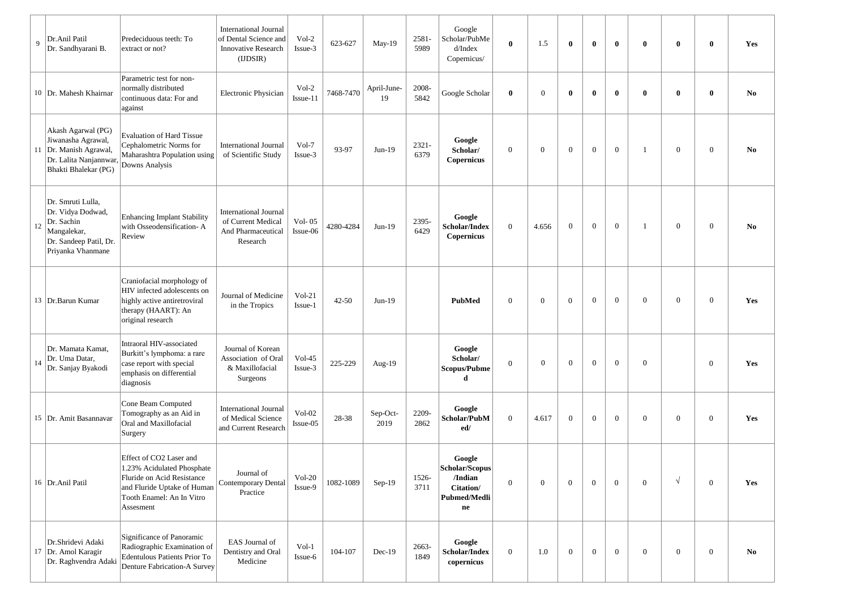| 9  | Dr.Anil Patil<br>Dr. Sandhyarani B.                                                                                   | Predeciduous teeth: To<br>extract or not?                                                                                                                    | <b>International Journal</b><br>of Dental Science and<br><b>Innovative Research</b><br>(UDSIR) | Vol-2<br>Issue-3      | 623-627   | May-19            | 2581-<br>5989    | Google<br>Scholar/PubMe<br>d/Index<br>Copernicus/                              | $\bf{0}$         | 1.5            | $\bf{0}$       | $\mathbf{0}$   | $\bf{0}$       | $\mathbf{0}$   | $\bf{0}$         | $\mathbf{0}$     | Yes            |
|----|-----------------------------------------------------------------------------------------------------------------------|--------------------------------------------------------------------------------------------------------------------------------------------------------------|------------------------------------------------------------------------------------------------|-----------------------|-----------|-------------------|------------------|--------------------------------------------------------------------------------|------------------|----------------|----------------|----------------|----------------|----------------|------------------|------------------|----------------|
|    | 10   Dr. Mahesh Khairnar                                                                                              | Parametric test for non-<br>normally distributed<br>continuous data: For and<br>against                                                                      | Electronic Physician                                                                           | $Vol-2$<br>Issue-11   | 7468-7470 | April-June-<br>19 | 2008-<br>5842    | Google Scholar                                                                 | $\bf{0}$         | $\theta$       | $\mathbf{0}$   | $\mathbf{0}$   | $\mathbf{0}$   | $\mathbf{0}$   | $\bf{0}$         | $\mathbf{0}$     | N <sub>0</sub> |
|    | Akash Agarwal (PG)<br>Jiwanasha Agrawal,<br>11  Dr. Manish Agrawal,<br>Dr. Lalita Nanjannwar,<br>Bhakti Bhalekar (PG) | <b>Evaluation of Hard Tissue</b><br>Cephalometric Norms for<br>Maharashtra Population using<br>Downs Analysis                                                | <b>International Journal</b><br>of Scientific Study                                            | Vol-7<br>Issue-3      | 93-97     | $Jun-19$          | $2321 -$<br>6379 | Google<br>Scholar/<br>Copernicus                                               | $\mathbf{0}$     | $\overline{0}$ | $\mathbf{0}$   | $\overline{0}$ | $\mathbf{0}$   | $\mathbf{1}$   | $\overline{0}$   | $\mathbf{0}$     | No             |
| 12 | Dr. Smruti Lulla,<br>Dr. Vidya Dodwad,<br>Dr. Sachin<br>Mangalekar,<br>Dr. Sandeep Patil, Dr.<br>Priyanka Vhanmane    | Enhancing Implant Stability<br>with Osseodensification-A<br>Review                                                                                           | <b>International Journal</b><br>of Current Medical<br>And Pharmaceutical<br>Research           | Vol- $05$<br>Issue-06 | 4280-4284 | $Jun-19$          | 2395-<br>6429    | Google<br>Scholar/Index<br><b>Copernicus</b>                                   | $\mathbf{0}$     | 4.656          | $\overline{0}$ | $\mathbf{0}$   | $\overline{0}$ | -1             | $\overline{0}$   | $\mathbf{0}$     | No             |
|    | 13   Dr. Barun Kumar                                                                                                  | Craniofacial morphology of<br>HIV infected adolescents on<br>highly active antiretroviral<br>therapy (HAART): An<br>original research                        | Journal of Medicine<br>in the Tropics                                                          | $Vol-21$<br>Issue-1   | $42 - 50$ | $Jun-19$          |                  | PubMed                                                                         | $\mathbf{0}$     | $\overline{0}$ | $\mathbf{0}$   | $\mathbf{0}$   | $\mathbf{0}$   | $\overline{0}$ | $\boldsymbol{0}$ | $\mathbf{0}$     | Yes            |
| 14 | Dr. Mamata Kamat.<br>Dr. Uma Datar,<br>Dr. Sanjay Byakodi                                                             | Intraoral HIV-associated<br>Burkitt's lymphoma: a rare<br>case report with special<br>emphasis on differential<br>diagnosis                                  | Journal of Korean<br>Association of Oral<br>& Maxillofacial<br>Surgeons                        | $Vol-45$<br>Issue-3   | 225-229   | Aug-19            |                  | Google<br>Scholar/<br>Scopus/Pubme<br>d                                        | $\mathbf{0}$     | $\mathbf{0}$   | $\overline{0}$ | $\overline{0}$ | $\overline{0}$ | $\mathbf{0}$   |                  | $\overline{0}$   | Yes            |
|    | 15   Dr. Amit Basannavar                                                                                              | Cone Beam Computed<br>Tomography as an Aid in<br>Oral and Maxillofacial<br>Surgery                                                                           | <b>International Journal</b><br>of Medical Science<br>and Current Research                     | $Vol-02$<br>Issue-05  | 28-38     | Sep-Oct-<br>2019  | 2209-<br>2862    | Google<br>Scholar/PubM<br>ed/                                                  | $\mathbf{0}$     | 4.617          | $\overline{0}$ | $\overline{0}$ | $\overline{0}$ | $\overline{0}$ | $\overline{0}$   | $\overline{0}$   | Yes            |
|    | 16   Dr. Anil Patil                                                                                                   | Effect of CO2 Laser and<br>1.23% Acidulated Phosphate<br>Fluride on Acid Resistance<br>and Fluride Uptake of Human<br>Tooth Enamel: An In Vitro<br>Assesment | Journal of<br>Contemporary Dental<br>Practice                                                  | $Vol-20$<br>Issue-9   | 1082-1089 | Sep-19            | 1526-<br>3711    | Google<br>Scholar/Scopus<br>/Indian<br>Citation/<br>Pubmed/Medli<br>${\bf ne}$ | $\mathbf{0}$     | $\mathbf{0}$   | $\mathbf{0}$   | $\overline{0}$ | $\overline{0}$ | $\overline{0}$ | $\sqrt{ }$       | $\mathbf{0}$     | Yes            |
|    | Dr.Shridevi Adaki<br>17 Dr. Amol Karagir<br>Dr. Raghvendra Adaki                                                      | Significance of Panoramic<br>Radiographic Examination of<br>Edentulous Patients Prior To<br>Denture Fabrication-A Survey                                     | EAS Journal of<br>Dentistry and Oral<br>Medicine                                               | $Vol-1$<br>Issue-6    | 104-107   | $Dec-19$          | 2663-<br>1849    | Google<br>Scholar/Index<br>copernicus                                          | $\boldsymbol{0}$ | 1.0            | $\mathbf{0}$   | $\overline{0}$ | $\overline{0}$ | $\overline{0}$ | $\overline{0}$   | $\boldsymbol{0}$ | N <sub>0</sub> |